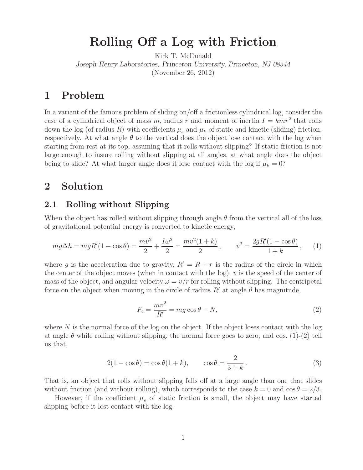**Rolling Off a Log with Friction** Kirk T. McDonald *Joseph Henry Laboratories, Princeton University, Princeton, NJ 08544* (November 26, 2012)

## 1

In a variant of the famous problem of sliding on/off a frictionless cylindrical log, consider the case of a cylindrical object of mass m, radius r and moment of inertia  $I = kmr^2$  that rolls down the log (of radius R) with coefficients  $\mu_s$  and  $\mu_k$  of static and kinetic (sliding) friction, respectively. At what angle  $\theta$  to the vertical does the object lose contact with the log when starting from rest at its top, assuming that it rolls without slipping? If static friction is not large enough to insure rolling without slipping at all angles, at what angle does the object being to slide? At what larger angle does it lose contact with the log if  $\mu_k = 0$ ?

# **2 Solution**

### **2.1 Rolling without Slipping**

When the object has rolled without slipping through angle  $\theta$  from the vertical all of the loss of gravitational potential energy is converted to kinetic energy,

$$
mg\Delta h = mgR'(1 - \cos\theta) = \frac{mv^2}{2} + \frac{I\omega^2}{2} = \frac{mv^2(1+k)}{2}, \qquad v^2 = \frac{2gR'(1 - \cos\theta)}{1+k}, \qquad (1)
$$

where g is the acceleration due to gravity,  $R' = R + r$  is the radius of the circle in which the center of the object moves (when in contact with the log), v is the speed of the center of mass of the object, and angular velocity  $\omega = v/r$  for rolling without slipping. The centripetal force on the object when moving in the circle of radius  $R'$  at angle  $\theta$  has magnitude,

$$
F_c = \frac{mv^2}{R'} = mg\cos\theta - N,\tag{2}
$$

where  $N$  is the normal force of the log on the object. If the object loses contact with the log at angle  $\theta$  while rolling without slipping, the normal force goes to zero, and eqs. (1)-(2) tell us that,

$$
2(1 - \cos \theta) = \cos \theta (1 + k), \qquad \cos \theta = \frac{2}{3 + k}.
$$
 (3)

That is, an object that rolls without slipping falls off at a large angle than one that slides without friction (and without rolling), which corresponds to the case  $k = 0$  and  $\cos \theta = 2/3$ .

However, if the coefficient  $\mu_s$  of static friction is small, the object may have started slipping before it lost contact with the log.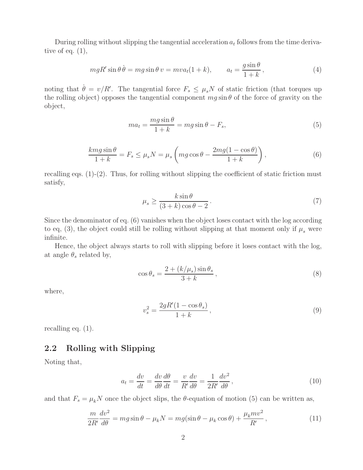During rolling without slipping the tangential acceleration  $a_t$  follows from the time derivative of eq.  $(1)$ ,

$$
mgR'\sin\theta\,\dot{\theta} = mg\sin\theta\,v = mva_t(1+k), \qquad a_t = \frac{g\sin\theta}{1+k},\tag{4}
$$

noting that  $\dot{\theta} = v/R'$ . The tangential force  $F_s \leq \mu_s N$  of static friction (that torques up the rolling object) opposes the tangential component  $mg \sin \theta$  of the force of gravity on the object,

$$
ma_t = \frac{mg\sin\theta}{1+k} = mg\sin\theta - F_s,\tag{5}
$$

$$
\frac{kmg\sin\theta}{1+k} = F_s \le \mu_s N = \mu_s \left( mg\cos\theta - \frac{2mg(1-\cos\theta)}{1+k} \right),\tag{6}
$$

recalling eqs.  $(1)-(2)$ . Thus, for rolling without slipping the coefficient of static friction must satisfy,

$$
\mu_s \ge \frac{k \sin \theta}{(3+k)\cos \theta - 2}.
$$
\n(7)

Since the denominator of eq. (6) vanishes when the object loses contact with the log according to eq, (3), the object could still be rolling without slipping at that moment only if  $\mu_s$  were infinite.

Hence, the object always starts to roll with slipping before it loses contact with the log, at angle  $\theta_s$  related by,

$$
\cos \theta_s = \frac{2 + (k/\mu_s) \sin \theta_s}{3 + k},\tag{8}
$$

where,

$$
v_s^2 = \frac{2gR'(1 - \cos\theta_s)}{1 + k},
$$
\n(9)

recalling eq. (1).

### **2.2 Rolling with Slipping**

Noting that,

$$
a_t = \frac{dv}{dt} = \frac{dv}{d\theta} \frac{d\theta}{dt} = \frac{v}{R'} \frac{dv}{d\theta} = \frac{1}{2R'} \frac{dv^2}{d\theta},\tag{10}
$$

and that  $F_s = \mu_k N$  once the object slips, the  $\theta$ -equation of motion (5) can be written as,

$$
\frac{m}{2R'}\frac{dv^2}{d\theta} = mg\sin\theta - \mu_k N = mg(\sin\theta - \mu_k \cos\theta) + \frac{\mu_k mv^2}{R'},\tag{11}
$$